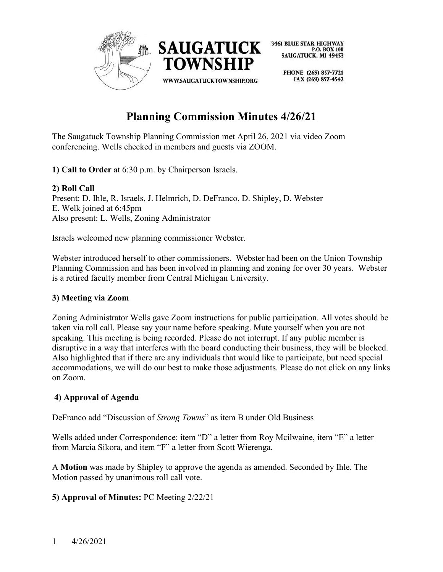

> PHONE (269) 857-7721 FAX (269) 857-4542

# **Planning Commission Minutes 4/26/21**

The Saugatuck Township Planning Commission met April 26, 2021 via video Zoom conferencing. Wells checked in members and guests via ZOOM.

**1) Call to Order** at 6:30 p.m. by Chairperson Israels.

## **2) Roll Call**

Present: D. Ihle, R. Israels, J. Helmrich, D. DeFranco, D. Shipley, D. Webster E. Welk joined at 6:45pm Also present: L. Wells, Zoning Administrator

Israels welcomed new planning commissioner Webster.

Webster introduced herself to other commissioners. Webster had been on the Union Township Planning Commission and has been involved in planning and zoning for over 30 years. Webster is a retired faculty member from Central Michigan University.

# **3) Meeting via Zoom**

Zoning Administrator Wells gave Zoom instructions for public participation. All votes should be taken via roll call. Please say your name before speaking. Mute yourself when you are not speaking. This meeting is being recorded. Please do not interrupt. If any public member is disruptive in a way that interferes with the board conducting their business, they will be blocked. Also highlighted that if there are any individuals that would like to participate, but need special accommodations, we will do our best to make those adjustments. Please do not click on any links on Zoom.

# **4) Approval of Agenda**

DeFranco add "Discussion of *Strong Towns*" as item B under Old Business

Wells added under Correspondence: item "D" a letter from Roy Mcilwaine, item "E" a letter from Marcia Sikora, and item "F" a letter from Scott Wierenga.

A **Motion** was made by Shipley to approve the agenda as amended. Seconded by Ihle. The Motion passed by unanimous roll call vote.

# **5) Approval of Minutes:** PC Meeting 2/22/21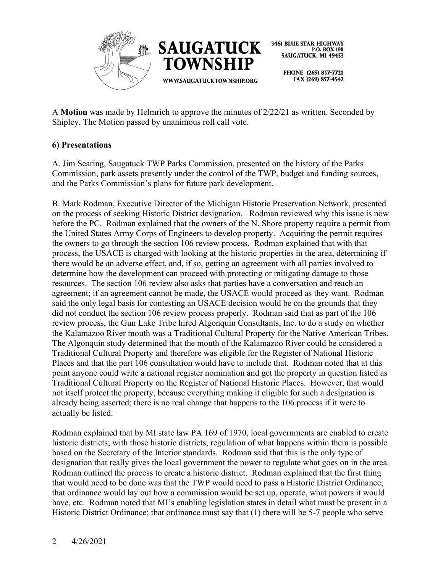

> PHONE (269) 857-7721 FAX (269) 857-4542

A **Motion** was made by Helmrich to approve the minutes of 2/22/21 as written. Seconded by Shipley. The Motion passed by unanimous roll call vote.

## **6) Presentations**

A. Jim Searing, Saugatuck TWP Parks Commission, presented on the history of the Parks Commission, park assets presently under the control of the TWP, budget and funding sources, and the Parks Commission's plans for future park development.

B. Mark Rodman, Executive Director of the Michigan Historic Preservation Network, presented on the process of seeking Historic District designation. Rodman reviewed why this issue is now before the PC. Rodman explained that the owners of the N. Shore property require a permit from the United States Army Corps of Engineers to develop property. Acquiring the permit requires the owners to go through the section 106 review process. Rodman explained that with that process, the USACE is charged with looking at the historic properties in the area, determining if there would be an adverse effect, and, if so, getting an agreement with all parties involved to determine how the development can proceed with protecting or mitigating damage to those resources. The section 106 review also asks that parties have a conversation and reach an agreement; if an agreement cannot be made, the USACE would proceed as they want. Rodman said the only legal basis for contesting an USACE decision would be on the grounds that they did not conduct the section 106 review process properly. Rodman said that as part of the 106 review process, the Gun Lake Tribe hired Algonquin Consultants, Inc. to do a study on whether the Kalamazoo River mouth was a Traditional Cultural Property for the Native American Tribes. The Algonquin study determined that the mouth of the Kalamazoo River could be considered a Traditional Cultural Property and therefore was eligible for the Register of National Historic Places and that the part 106 consultation would have to include that. Rodman noted that at this point anyone could write a national register nomination and get the property in question listed as Traditional Cultural Property on the Register of National Historic Places. However, that would not itself protect the property, because everything making it eligible for such a designation is already being asserted; there is no real change that happens to the 106 process if it were to actually be listed.

Rodman explained that by MI state law PA 169 of 1970, local governments are enabled to create historic districts; with those historic districts, regulation of what happens within them is possible based on the Secretary of the Interior standards. Rodman said that this is the only type of designation that really gives the local government the power to regulate what goes on in the area. Rodman outlined the process to create a historic district. Rodman explained that the first thing that would need to be done was that the TWP would need to pass a Historic District Ordinance; that ordinance would lay out how a commission would be set up, operate, what powers it would have, etc. Rodman noted that MI's enabling legislation states in detail what must be present in a Historic District Ordinance; that ordinance must say that (1) there will be 5-7 people who serve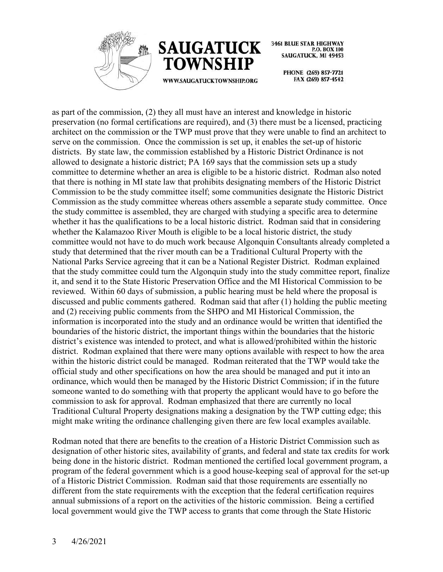



> PHONE (269) 857-7721 FAX (269) 857-4542

as part of the commission, (2) they all must have an interest and knowledge in historic preservation (no formal certifications are required), and (3) there must be a licensed, practicing architect on the commission or the TWP must prove that they were unable to find an architect to serve on the commission. Once the commission is set up, it enables the set-up of historic districts. By state law, the commission established by a Historic District Ordinance is not allowed to designate a historic district; PA 169 says that the commission sets up a study committee to determine whether an area is eligible to be a historic district. Rodman also noted that there is nothing in MI state law that prohibits designating members of the Historic District Commission to be the study committee itself; some communities designate the Historic District Commission as the study committee whereas others assemble a separate study committee. Once the study committee is assembled, they are charged with studying a specific area to determine whether it has the qualifications to be a local historic district. Rodman said that in considering whether the Kalamazoo River Mouth is eligible to be a local historic district, the study committee would not have to do much work because Algonquin Consultants already completed a study that determined that the river mouth can be a Traditional Cultural Property with the National Parks Service agreeing that it can be a National Register District. Rodman explained that the study committee could turn the Algonquin study into the study committee report, finalize it, and send it to the State Historic Preservation Office and the MI Historical Commission to be reviewed. Within 60 days of submission, a public hearing must be held where the proposal is discussed and public comments gathered. Rodman said that after (1) holding the public meeting and (2) receiving public comments from the SHPO and MI Historical Commission, the information is incorporated into the study and an ordinance would be written that identified the boundaries of the historic district, the important things within the boundaries that the historic district's existence was intended to protect, and what is allowed/prohibited within the historic district. Rodman explained that there were many options available with respect to how the area within the historic district could be managed. Rodman reiterated that the TWP would take the official study and other specifications on how the area should be managed and put it into an ordinance, which would then be managed by the Historic District Commission; if in the future someone wanted to do something with that property the applicant would have to go before the commission to ask for approval. Rodman emphasized that there are currently no local Traditional Cultural Property designations making a designation by the TWP cutting edge; this might make writing the ordinance challenging given there are few local examples available.

Rodman noted that there are benefits to the creation of a Historic District Commission such as designation of other historic sites, availability of grants, and federal and state tax credits for work being done in the historic district. Rodman mentioned the certified local government program, a program of the federal government which is a good house-keeping seal of approval for the set-up of a Historic District Commission. Rodman said that those requirements are essentially no different from the state requirements with the exception that the federal certification requires annual submissions of a report on the activities of the historic commission. Being a certified local government would give the TWP access to grants that come through the State Historic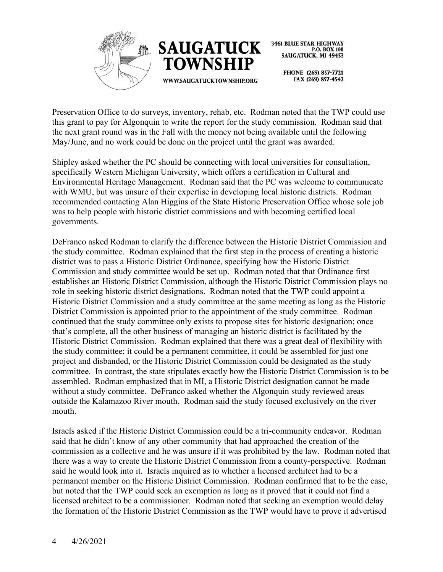



> PHONE (269) 857-7721 FAX (269) 857-4542

Preservation Office to do surveys, inventory, rehab, etc. Rodman noted that the TWP could use this grant to pay for Algonquin to write the report for the study commission. Rodman said that the next grant round was in the Fall with the money not being available until the following May/June, and no work could be done on the project until the grant was awarded.

Shipley asked whether the PC should be connecting with local universities for consultation, specifically Western Michigan University, which offers a certification in Cultural and Environmental Heritage Management. Rodman said that the PC was welcome to communicate with WMU, but was unsure of their expertise in developing local historic districts. Rodman recommended contacting Alan Higgins of the State Historic Preservation Office whose sole job was to help people with historic district commissions and with becoming certified local governments.

DeFranco asked Rodman to clarify the difference between the Historic District Commission and the study committee. Rodman explained that the first step in the process of creating a historic district was to pass a Historic District Ordinance, specifying how the Historic District Commission and study committee would be set up. Rodman noted that that Ordinance first establishes an Historic District Commission, although the Historic District Commission plays no role in seeking historic district designations. Rodman noted that the TWP could appoint a Historic District Commission and a study committee at the same meeting as long as the Historic District Commission is appointed prior to the appointment of the study committee. Rodman continued that the study committee only exists to propose sites for historic designation; once that's complete, all the other business of managing an historic district is facilitated by the Historic District Commission. Rodman explained that there was a great deal of flexibility with the study committee; it could be a permanent committee, it could be assembled for just one project and disbanded, or the Historic District Commission could be designated as the study committee. In contrast, the state stipulates exactly how the Historic District Commission is to be assembled. Rodman emphasized that in MI, a Historic District designation cannot be made without a study committee. DeFranco asked whether the Algonquin study reviewed areas outside the Kalamazoo River mouth. Rodman said the study focused exclusively on the river mouth.

Israels asked if the Historic District Commission could be a tri-community endeavor. Rodman said that he didn't know of any other community that had approached the creation of the commission as a collective and he was unsure if it was prohibited by the law. Rodman noted that there was a way to create the Historic District Commission from a county-perspective. Rodman said he would look into it. Israels inquired as to whether a licensed architect had to be a permanent member on the Historic District Commission. Rodman confirmed that to be the case, but noted that the TWP could seek an exemption as long as it proved that it could not find a licensed architect to be a commissioner. Rodman noted that seeking an exemption would delay the formation of the Historic District Commission as the TWP would have to prove it advertised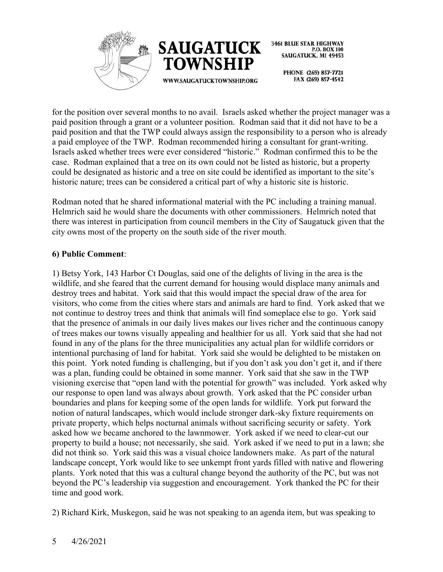



> PHONE (269) 857-7721 FAX (269) 857-4542

for the position over several months to no avail. Israels asked whether the project manager was a paid position through a grant or a volunteer position. Rodman said that it did not have to be a paid position and that the TWP could always assign the responsibility to a person who is already a paid employee of the TWP. Rodman recommended hiring a consultant for grant-writing. Israels asked whether trees were ever considered "historic." Rodman confirmed this to be the case. Rodman explained that a tree on its own could not be listed as historic, but a property could be designated as historic and a tree on site could be identified as important to the site's historic nature; trees can be considered a critical part of why a historic site is historic.

Rodman noted that he shared informational material with the PC including a training manual. Helmrich said he would share the documents with other commissioners. Helmrich noted that there was interest in participation from council members in the City of Saugatuck given that the city owns most of the property on the south side of the river mouth.

## **6) Public Comment**:

1) Betsy York, 143 Harbor Ct Douglas, said one of the delights of living in the area is the wildlife, and she feared that the current demand for housing would displace many animals and destroy trees and habitat. York said that this would impact the special draw of the area for visitors, who come from the cities where stars and animals are hard to find. York asked that we not continue to destroy trees and think that animals will find someplace else to go. York said that the presence of animals in our daily lives makes our lives richer and the continuous canopy of trees makes our towns visually appealing and healthier for us all. York said that she had not found in any of the plans for the three municipalities any actual plan for wildlife corridors or intentional purchasing of land for habitat. York said she would be delighted to be mistaken on this point. York noted funding is challenging, but if you don't ask you don't get it, and if there was a plan, funding could be obtained in some manner. York said that she saw in the TWP visioning exercise that "open land with the potential for growth" was included. York asked why our response to open land was always about growth. York asked that the PC consider urban boundaries and plans for keeping some of the open lands for wildlife. York put forward the notion of natural landscapes, which would include stronger dark-sky fixture requirements on private property, which helps nocturnal animals without sacrificing security or safety. York asked how we became anchored to the lawnmower. York asked if we need to clear-cut our property to build a house; not necessarily, she said. York asked if we need to put in a lawn; she did not think so. York said this was a visual choice landowners make. As part of the natural landscape concept, York would like to see unkempt front yards filled with native and flowering plants. York noted that this was a cultural change beyond the authority of the PC, but was not beyond the PC's leadership via suggestion and encouragement. York thanked the PC for their time and good work.

2) Richard Kirk, Muskegon, said he was not speaking to an agenda item, but was speaking to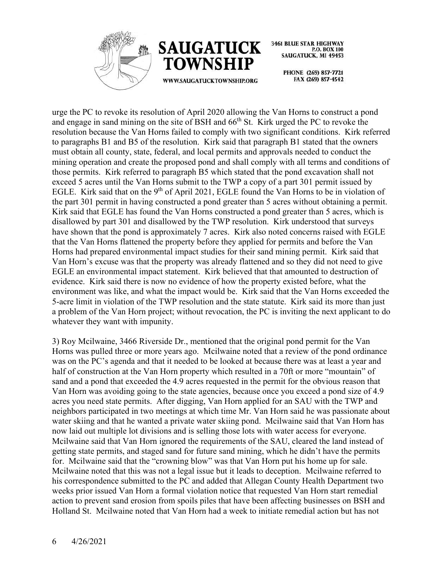



WWW.SAUGATUCKTOWNSHIP.ORG

**3461 BLUE STAR HIGHWAY** P.O. BOX 100 **SAUGATUCK, MI 49453** 

> PHONE (269) 857-7721 FAX (269) 857-4542

urge the PC to revoke its resolution of April 2020 allowing the Van Horns to construct a pond and engage in sand mining on the site of BSH and 66<sup>th</sup> St. Kirk urged the PC to revoke the resolution because the Van Horns failed to comply with two significant conditions. Kirk referred to paragraphs B1 and B5 of the resolution. Kirk said that paragraph B1 stated that the owners must obtain all county, state, federal, and local permits and approvals needed to conduct the mining operation and create the proposed pond and shall comply with all terms and conditions of those permits. Kirk referred to paragraph B5 which stated that the pond excavation shall not exceed 5 acres until the Van Horns submit to the TWP a copy of a part 301 permit issued by EGLE. Kirk said that on the 9<sup>th</sup> of April 2021, EGLE found the Van Horns to be in violation of the part 301 permit in having constructed a pond greater than 5 acres without obtaining a permit. Kirk said that EGLE has found the Van Horns constructed a pond greater than 5 acres, which is disallowed by part 301 and disallowed by the TWP resolution. Kirk understood that surveys have shown that the pond is approximately 7 acres. Kirk also noted concerns raised with EGLE that the Van Horns flattened the property before they applied for permits and before the Van Horns had prepared environmental impact studies for their sand mining permit. Kirk said that Van Horn's excuse was that the property was already flattened and so they did not need to give EGLE an environmental impact statement. Kirk believed that that amounted to destruction of evidence. Kirk said there is now no evidence of how the property existed before, what the environment was like, and what the impact would be. Kirk said that the Van Horns exceeded the 5-acre limit in violation of the TWP resolution and the state statute. Kirk said its more than just a problem of the Van Horn project; without revocation, the PC is inviting the next applicant to do whatever they want with impunity.

3) Roy Mcilwaine, 3466 Riverside Dr., mentioned that the original pond permit for the Van Horns was pulled three or more years ago. Mcilwaine noted that a review of the pond ordinance was on the PC's agenda and that it needed to be looked at because there was at least a year and half of construction at the Van Horn property which resulted in a 70ft or more "mountain" of sand and a pond that exceeded the 4.9 acres requested in the permit for the obvious reason that Van Horn was avoiding going to the state agencies, because once you exceed a pond size of 4.9 acres you need state permits. After digging, Van Horn applied for an SAU with the TWP and neighbors participated in two meetings at which time Mr. Van Horn said he was passionate about water skiing and that he wanted a private water skiing pond. Mcilwaine said that Van Horn has now laid out multiple lot divisions and is selling those lots with water access for everyone. Mcilwaine said that Van Horn ignored the requirements of the SAU, cleared the land instead of getting state permits, and staged sand for future sand mining, which he didn't have the permits for. Mcilwaine said that the "crowning blow" was that Van Horn put his home up for sale. Mcilwaine noted that this was not a legal issue but it leads to deception. Mcilwaine referred to his correspondence submitted to the PC and added that Allegan County Health Department two weeks prior issued Van Horn a formal violation notice that requested Van Horn start remedial action to prevent sand erosion from spoils piles that have been affecting businesses on BSH and Holland St. Mcilwaine noted that Van Horn had a week to initiate remedial action but has not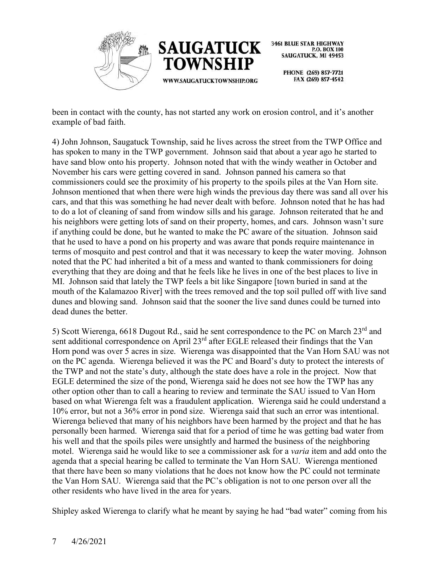



> PHONE (269) 857-7721 FAX (269) 857-4542

been in contact with the county, has not started any work on erosion control, and it's another example of bad faith.

4) John Johnson, Saugatuck Township, said he lives across the street from the TWP Office and has spoken to many in the TWP government. Johnson said that about a year ago he started to have sand blow onto his property. Johnson noted that with the windy weather in October and November his cars were getting covered in sand. Johnson panned his camera so that commissioners could see the proximity of his property to the spoils piles at the Van Horn site. Johnson mentioned that when there were high winds the previous day there was sand all over his cars, and that this was something he had never dealt with before. Johnson noted that he has had to do a lot of cleaning of sand from window sills and his garage. Johnson reiterated that he and his neighbors were getting lots of sand on their property, homes, and cars. Johnson wasn't sure if anything could be done, but he wanted to make the PC aware of the situation. Johnson said that he used to have a pond on his property and was aware that ponds require maintenance in terms of mosquito and pest control and that it was necessary to keep the water moving. Johnson noted that the PC had inherited a bit of a mess and wanted to thank commissioners for doing everything that they are doing and that he feels like he lives in one of the best places to live in MI. Johnson said that lately the TWP feels a bit like Singapore [town buried in sand at the mouth of the Kalamazoo River] with the trees removed and the top soil pulled off with live sand dunes and blowing sand. Johnson said that the sooner the live sand dunes could be turned into dead dunes the better.

5) Scott Wierenga, 6618 Dugout Rd., said he sent correspondence to the PC on March 23rd and sent additional correspondence on April 23<sup>rd</sup> after EGLE released their findings that the Van Horn pond was over 5 acres in size. Wierenga was disappointed that the Van Horn SAU was not on the PC agenda. Wierenga believed it was the PC and Board's duty to protect the interests of the TWP and not the state's duty, although the state does have a role in the project. Now that EGLE determined the size of the pond, Wierenga said he does not see how the TWP has any other option other than to call a hearing to review and terminate the SAU issued to Van Horn based on what Wierenga felt was a fraudulent application. Wierenga said he could understand a 10% error, but not a 36% error in pond size. Wierenga said that such an error was intentional. Wierenga believed that many of his neighbors have been harmed by the project and that he has personally been harmed. Wierenga said that for a period of time he was getting bad water from his well and that the spoils piles were unsightly and harmed the business of the neighboring motel. Wierenga said he would like to see a commissioner ask for a *varia* item and add onto the agenda that a special hearing be called to terminate the Van Horn SAU. Wierenga mentioned that there have been so many violations that he does not know how the PC could not terminate the Van Horn SAU. Wierenga said that the PC's obligation is not to one person over all the other residents who have lived in the area for years.

Shipley asked Wierenga to clarify what he meant by saying he had "bad water" coming from his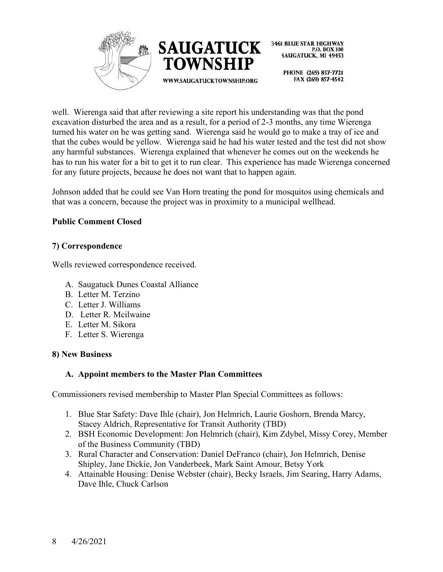



> PHONE (269) 857-7721 FAX (269) 857-4542

well. Wierenga said that after reviewing a site report his understanding was that the pond excavation disturbed the area and as a result, for a period of 2-3 months, any time Wierenga turned his water on he was getting sand. Wierenga said he would go to make a tray of ice and that the cubes would be yellow. Wierenga said he had his water tested and the test did not show any harmful substances. Wierenga explained that whenever he comes out on the weekends he has to run his water for a bit to get it to run clear. This experience has made Wierenga concerned for any future projects, because he does not want that to happen again.

Johnson added that he could see Van Horn treating the pond for mosquitos using chemicals and that was a concern, because the project was in proximity to a municipal wellhead.

## **Public Comment Closed**

## **7) Correspondence**

Wells reviewed correspondence received.

- A. Saugatuck Dunes Coastal Alliance
- B. Letter M. Terzino
- C. Letter J. Williams
- D. Letter R. Mcilwaine
- E. Letter M. Sikora
- F. Letter S. Wierenga

## **8) New Business**

## **A. Appoint members to the Master Plan Committees**

Commissioners revised membership to Master Plan Special Committees as follows:

- 1. Blue Star Safety: Dave Ihle (chair), Jon Helmrich, Laurie Goshorn, Brenda Marcy, Stacey Aldrich, Representative for Transit Authority (TBD)
- 2. BSH Economic Development: Jon Helmrich (chair), Kim Zdybel, Missy Corey, Member of the Business Community (TBD)
- 3. Rural Character and Conservation: Daniel DeFranco (chair), Jon Helmrich, Denise Shipley, Jane Dickie, Jon Vanderbeek, Mark Saint Amour, Betsy York
- 4. Attainable Housing: Denise Webster (chair), Becky Israels, Jim Searing, Harry Adams, Dave Ihle, Chuck Carlson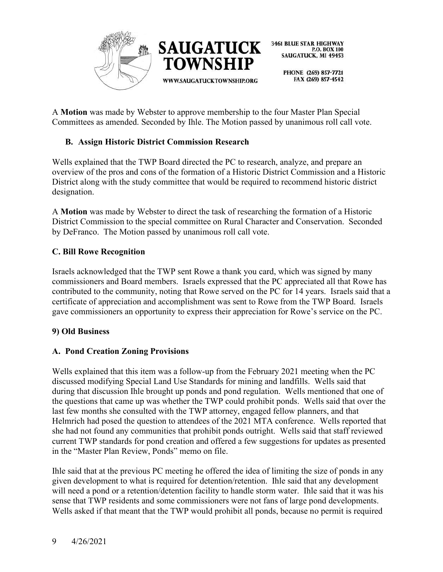

> PHONE (269) 857-7721 FAX (269) 857-4542

A **Motion** was made by Webster to approve membership to the four Master Plan Special Committees as amended. Seconded by Ihle. The Motion passed by unanimous roll call vote.

# **B. Assign Historic District Commission Research**

Wells explained that the TWP Board directed the PC to research, analyze, and prepare an overview of the pros and cons of the formation of a Historic District Commission and a Historic District along with the study committee that would be required to recommend historic district designation.

A **Motion** was made by Webster to direct the task of researching the formation of a Historic District Commission to the special committee on Rural Character and Conservation. Seconded by DeFranco. The Motion passed by unanimous roll call vote.

## **C. Bill Rowe Recognition**

Israels acknowledged that the TWP sent Rowe a thank you card, which was signed by many commissioners and Board members. Israels expressed that the PC appreciated all that Rowe has contributed to the community, noting that Rowe served on the PC for 14 years. Israels said that a certificate of appreciation and accomplishment was sent to Rowe from the TWP Board. Israels gave commissioners an opportunity to express their appreciation for Rowe's service on the PC.

## **9) Old Business**

## **A. Pond Creation Zoning Provisions**

Wells explained that this item was a follow-up from the February 2021 meeting when the PC discussed modifying Special Land Use Standards for mining and landfills. Wells said that during that discussion Ihle brought up ponds and pond regulation. Wells mentioned that one of the questions that came up was whether the TWP could prohibit ponds. Wells said that over the last few months she consulted with the TWP attorney, engaged fellow planners, and that Helmrich had posed the question to attendees of the 2021 MTA conference. Wells reported that she had not found any communities that prohibit ponds outright. Wells said that staff reviewed current TWP standards for pond creation and offered a few suggestions for updates as presented in the "Master Plan Review, Ponds" memo on file.

Ihle said that at the previous PC meeting he offered the idea of limiting the size of ponds in any given development to what is required for detention/retention. Ihle said that any development will need a pond or a retention/detention facility to handle storm water. Ihle said that it was his sense that TWP residents and some commissioners were not fans of large pond developments. Wells asked if that meant that the TWP would prohibit all ponds, because no permit is required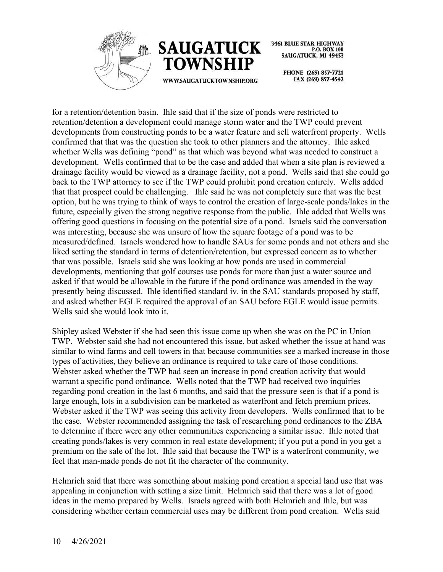



WWW.SAUGATUCKTOWNSHIP.ORG

**3461 BLUE STAR HIGHWAY** P.O. BOX 100 SAUGATUCK, MI 49453

> PHONE (269) 857-7721 FAX (269) 857-4542

for a retention/detention basin. Ihle said that if the size of ponds were restricted to retention/detention a development could manage storm water and the TWP could prevent developments from constructing ponds to be a water feature and sell waterfront property. Wells confirmed that that was the question she took to other planners and the attorney. Ihle asked whether Wells was defining "pond" as that which was beyond what was needed to construct a development. Wells confirmed that to be the case and added that when a site plan is reviewed a drainage facility would be viewed as a drainage facility, not a pond. Wells said that she could go back to the TWP attorney to see if the TWP could prohibit pond creation entirely. Wells added that that prospect could be challenging. Ihle said he was not completely sure that was the best option, but he was trying to think of ways to control the creation of large-scale ponds/lakes in the future, especially given the strong negative response from the public. Ihle added that Wells was offering good questions in focusing on the potential size of a pond. Israels said the conversation was interesting, because she was unsure of how the square footage of a pond was to be measured/defined. Israels wondered how to handle SAUs for some ponds and not others and she liked setting the standard in terms of detention/retention, but expressed concern as to whether that was possible. Israels said she was looking at how ponds are used in commercial developments, mentioning that golf courses use ponds for more than just a water source and asked if that would be allowable in the future if the pond ordinance was amended in the way presently being discussed. Ihle identified standard iv. in the SAU standards proposed by staff, and asked whether EGLE required the approval of an SAU before EGLE would issue permits. Wells said she would look into it.

Shipley asked Webster if she had seen this issue come up when she was on the PC in Union TWP. Webster said she had not encountered this issue, but asked whether the issue at hand was similar to wind farms and cell towers in that because communities see a marked increase in those types of activities, they believe an ordinance is required to take care of those conditions. Webster asked whether the TWP had seen an increase in pond creation activity that would warrant a specific pond ordinance. Wells noted that the TWP had received two inquiries regarding pond creation in the last 6 months, and said that the pressure seen is that if a pond is large enough, lots in a subdivision can be marketed as waterfront and fetch premium prices. Webster asked if the TWP was seeing this activity from developers. Wells confirmed that to be the case. Webster recommended assigning the task of researching pond ordinances to the ZBA to determine if there were any other communities experiencing a similar issue. Ihle noted that creating ponds/lakes is very common in real estate development; if you put a pond in you get a premium on the sale of the lot. Ihle said that because the TWP is a waterfront community, we feel that man-made ponds do not fit the character of the community.

Helmrich said that there was something about making pond creation a special land use that was appealing in conjunction with setting a size limit. Helmrich said that there was a lot of good ideas in the memo prepared by Wells. Israels agreed with both Helmrich and Ihle, but was considering whether certain commercial uses may be different from pond creation. Wells said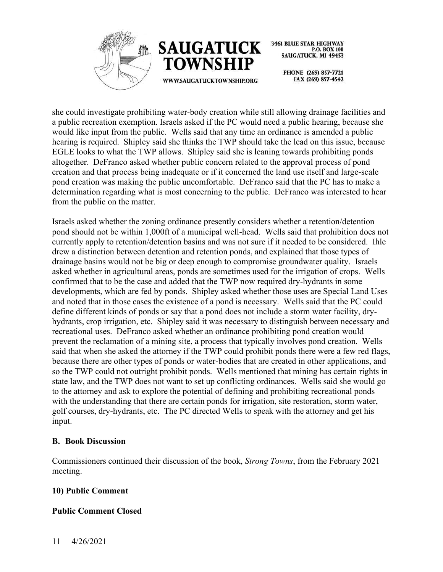



> PHONE (269) 857-7721 FAX (269) 857-4542

she could investigate prohibiting water-body creation while still allowing drainage facilities and a public recreation exemption. Israels asked if the PC would need a public hearing, because she would like input from the public. Wells said that any time an ordinance is amended a public hearing is required. Shipley said she thinks the TWP should take the lead on this issue, because EGLE looks to what the TWP allows. Shipley said she is leaning towards prohibiting ponds altogether. DeFranco asked whether public concern related to the approval process of pond creation and that process being inadequate or if it concerned the land use itself and large-scale pond creation was making the public uncomfortable. DeFranco said that the PC has to make a determination regarding what is most concerning to the public. DeFranco was interested to hear from the public on the matter.

Israels asked whether the zoning ordinance presently considers whether a retention/detention pond should not be within 1,000ft of a municipal well-head. Wells said that prohibition does not currently apply to retention/detention basins and was not sure if it needed to be considered. Ihle drew a distinction between detention and retention ponds, and explained that those types of drainage basins would not be big or deep enough to compromise groundwater quality. Israels asked whether in agricultural areas, ponds are sometimes used for the irrigation of crops. Wells confirmed that to be the case and added that the TWP now required dry-hydrants in some developments, which are fed by ponds. Shipley asked whether those uses are Special Land Uses and noted that in those cases the existence of a pond is necessary. Wells said that the PC could define different kinds of ponds or say that a pond does not include a storm water facility, dryhydrants, crop irrigation, etc. Shipley said it was necessary to distinguish between necessary and recreational uses. DeFranco asked whether an ordinance prohibiting pond creation would prevent the reclamation of a mining site, a process that typically involves pond creation. Wells said that when she asked the attorney if the TWP could prohibit ponds there were a few red flags, because there are other types of ponds or water-bodies that are created in other applications, and so the TWP could not outright prohibit ponds. Wells mentioned that mining has certain rights in state law, and the TWP does not want to set up conflicting ordinances. Wells said she would go to the attorney and ask to explore the potential of defining and prohibiting recreational ponds with the understanding that there are certain ponds for irrigation, site restoration, storm water, golf courses, dry-hydrants, etc. The PC directed Wells to speak with the attorney and get his input.

## **B. Book Discussion**

Commissioners continued their discussion of the book, *Strong Towns*, from the February 2021 meeting.

## **10) Public Comment**

# **Public Comment Closed**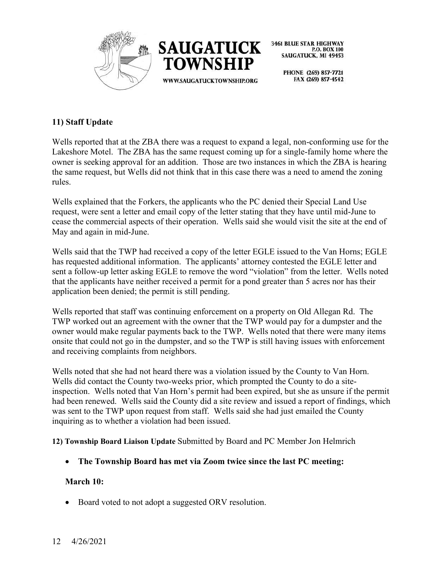



> PHONE (269) 857-7721 FAX (269) 857-4542

## **11) Staff Update**

Wells reported that at the ZBA there was a request to expand a legal, non-conforming use for the Lakeshore Motel. The ZBA has the same request coming up for a single-family home where the owner is seeking approval for an addition. Those are two instances in which the ZBA is hearing the same request, but Wells did not think that in this case there was a need to amend the zoning rules.

Wells explained that the Forkers, the applicants who the PC denied their Special Land Use request, were sent a letter and email copy of the letter stating that they have until mid-June to cease the commercial aspects of their operation. Wells said she would visit the site at the end of May and again in mid-June.

Wells said that the TWP had received a copy of the letter EGLE issued to the Van Horns; EGLE has requested additional information. The applicants' attorney contested the EGLE letter and sent a follow-up letter asking EGLE to remove the word "violation" from the letter. Wells noted that the applicants have neither received a permit for a pond greater than 5 acres nor has their application been denied; the permit is still pending.

Wells reported that staff was continuing enforcement on a property on Old Allegan Rd. The TWP worked out an agreement with the owner that the TWP would pay for a dumpster and the owner would make regular payments back to the TWP. Wells noted that there were many items onsite that could not go in the dumpster, and so the TWP is still having issues with enforcement and receiving complaints from neighbors.

Wells noted that she had not heard there was a violation issued by the County to Van Horn. Wells did contact the County two-weeks prior, which prompted the County to do a siteinspection. Wells noted that Van Horn's permit had been expired, but she as unsure if the permit had been renewed. Wells said the County did a site review and issued a report of findings, which was sent to the TWP upon request from staff. Wells said she had just emailed the County inquiring as to whether a violation had been issued.

**12) Township Board Liaison Update** Submitted by Board and PC Member Jon Helmrich

• **The Township Board has met via Zoom twice since the last PC meeting:**

## **March 10:**

• Board voted to not adopt a suggested ORV resolution.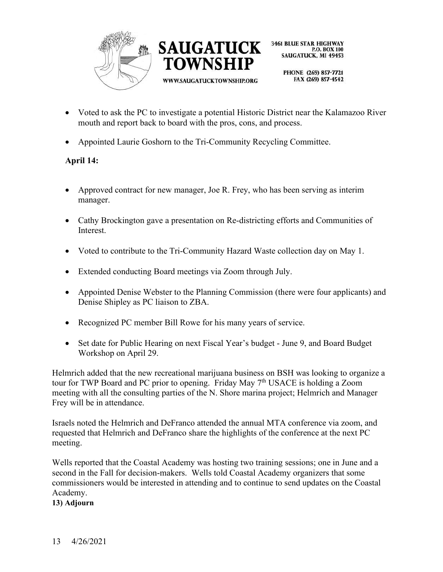



> PHONE (269) 857-7721 FAX (269) 857-4542

- Voted to ask the PC to investigate a potential Historic District near the Kalamazoo River mouth and report back to board with the pros, cons, and process.
- Appointed Laurie Goshorn to the Tri-Community Recycling Committee.

# **April 14:**

- Approved contract for new manager, Joe R. Frey, who has been serving as interim manager.
- Cathy Brockington gave a presentation on Re-districting efforts and Communities of Interest.
- Voted to contribute to the Tri-Community Hazard Waste collection day on May 1.
- Extended conducting Board meetings via Zoom through July.
- Appointed Denise Webster to the Planning Commission (there were four applicants) and Denise Shipley as PC liaison to ZBA.
- Recognized PC member Bill Rowe for his many years of service.
- Set date for Public Hearing on next Fiscal Year's budget June 9, and Board Budget Workshop on April 29.

Helmrich added that the new recreational marijuana business on BSH was looking to organize a tour for TWP Board and PC prior to opening. Friday May 7<sup>th</sup> USACE is holding a Zoom meeting with all the consulting parties of the N. Shore marina project; Helmrich and Manager Frey will be in attendance.

Israels noted the Helmrich and DeFranco attended the annual MTA conference via zoom, and requested that Helmrich and DeFranco share the highlights of the conference at the next PC meeting.

Wells reported that the Coastal Academy was hosting two training sessions; one in June and a second in the Fall for decision-makers. Wells told Coastal Academy organizers that some commissioners would be interested in attending and to continue to send updates on the Coastal Academy.

**13) Adjourn**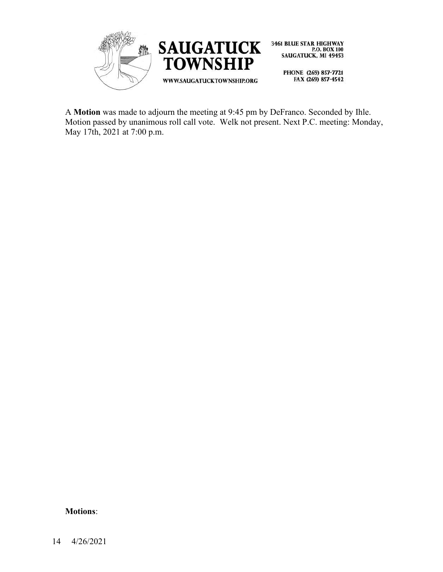

A **Motion** was made to adjourn the meeting at 9:45 pm by DeFranco. Seconded by Ihle. Motion passed by unanimous roll call vote. Welk not present. Next P.C. meeting: Monday, May 17th, 2021 at 7:00 p.m.

#### **Motions**: